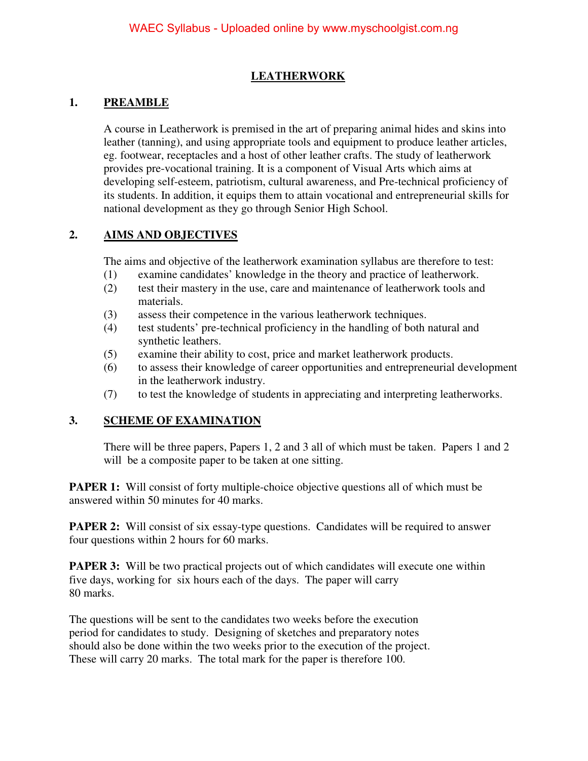### **LEATHERWORK**

### **1. PREAMBLE**

A course in Leatherwork is premised in the art of preparing animal hides and skins into leather (tanning), and using appropriate tools and equipment to produce leather articles, eg. footwear, receptacles and a host of other leather crafts. The study of leatherwork provides pre-vocational training. It is a component of Visual Arts which aims at developing self-esteem, patriotism, cultural awareness, and Pre-technical proficiency of its students. In addition, it equips them to attain vocational and entrepreneurial skills for national development as they go through Senior High School.

### **2. AIMS AND OBJECTIVES**

The aims and objective of the leatherwork examination syllabus are therefore to test:

- (1) examine candidates' knowledge in the theory and practice of leatherwork.
- (2) test their mastery in the use, care and maintenance of leatherwork tools and materials.
- (3) assess their competence in the various leatherwork techniques.
- (4) test students' pre-technical proficiency in the handling of both natural and synthetic leathers.
- (5) examine their ability to cost, price and market leatherwork products.
- (6) to assess their knowledge of career opportunities and entrepreneurial development in the leatherwork industry.
- (7) to test the knowledge of students in appreciating and interpreting leatherworks.

## **3. SCHEME OF EXAMINATION**

There will be three papers, Papers 1, 2 and 3 all of which must be taken. Papers 1 and 2 will be a composite paper to be taken at one sitting.

**PAPER 1:** Will consist of forty multiple-choice objective questions all of which must be answered within 50 minutes for 40 marks.

**PAPER 2:** Will consist of six essay-type questions. Candidates will be required to answer four questions within 2 hours for 60 marks.

**PAPER 3:** Will be two practical projects out of which candidates will execute one within five days, working for six hours each of the days. The paper will carry 80 marks.

The questions will be sent to the candidates two weeks before the execution period for candidates to study. Designing of sketches and preparatory notes should also be done within the two weeks prior to the execution of the project. These will carry 20 marks. The total mark for the paper is therefore 100.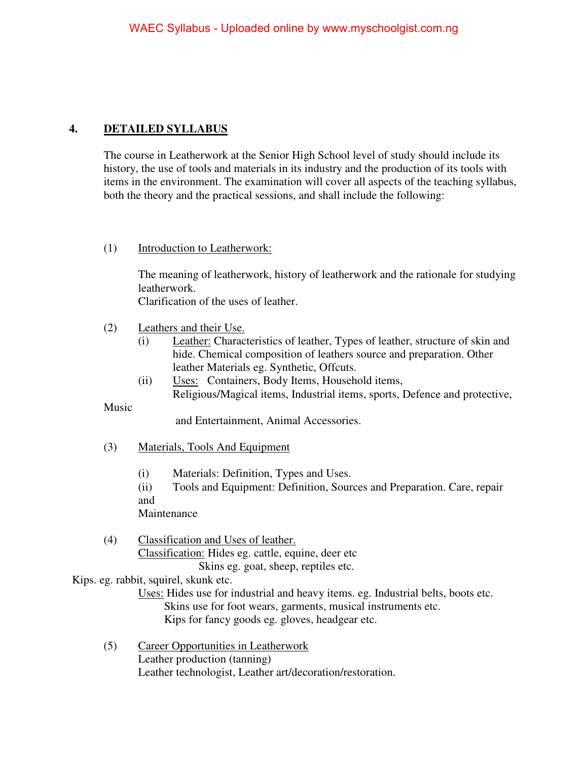# **4. DETAILED SYLLABUS**

The course in Leatherwork at the Senior High School level of study should include its history, the use of tools and materials in its industry and the production of its tools with items in the environment. The examination will cover all aspects of the teaching syllabus, both the theory and the practical sessions, and shall include the following:

### (1) Introduction to Leatherwork:

The meaning of leatherwork, history of leatherwork and the rationale for studying leatherwork.

Clarification of the uses of leather.

- (2) Leathers and their Use.
	- (i) Leather: Characteristics of leather, Types of leather, structure of skin and hide. Chemical composition of leathers source and preparation. Other leather Materials eg. Synthetic, Offcuts.
	- (ii) Uses: Containers, Body Items, Household items, Religious/Magical items, Industrial items, sports, Defence and protective,

Music

and Entertainment, Animal Accessories.

- (3) Materials, Tools And Equipment
	- (i) Materials: Definition, Types and Uses.

(ii) Tools and Equipment: Definition, Sources and Preparation. Care, repair and

Maintenance

(4) Classification and Uses of leather. Classification: Hides eg. cattle, equine, deer etc Skins eg. goat, sheep, reptiles etc.

#### Kips. eg. rabbit, squirel, skunk etc.

 Uses: Hides use for industrial and heavy items. eg. Industrial belts, boots etc. Skins use for foot wears, garments, musical instruments etc. Kips for fancy goods eg. gloves, headgear etc.

(5) Career Opportunities in Leatherwork Leather production (tanning) Leather technologist, Leather art/decoration/restoration.